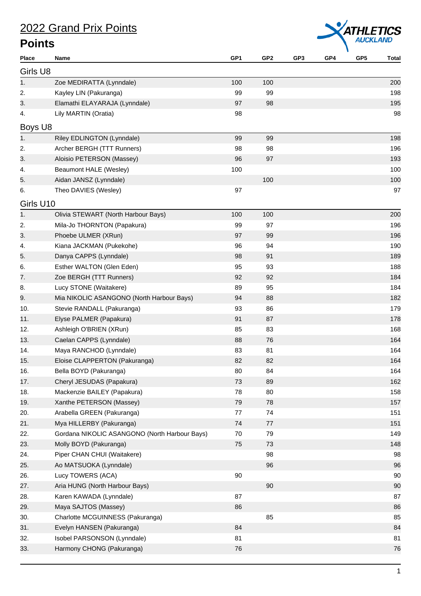

| <b>Place</b> | Name                                          | GP <sub>1</sub> | GP <sub>2</sub> | GP3 | GP4 | GP <sub>5</sub> | <b>Total</b> |
|--------------|-----------------------------------------------|-----------------|-----------------|-----|-----|-----------------|--------------|
| Girls U8     |                                               |                 |                 |     |     |                 |              |
| 1.           | Zoe MEDIRATTA (Lynndale)                      | 100             | 100             |     |     |                 | 200          |
| 2.           | Kayley LIN (Pakuranga)                        | 99              | 99              |     |     |                 | 198          |
| 3.           | Elamathi ELAYARAJA (Lynndale)                 | 97              | 98              |     |     |                 | 195          |
| 4.           | Lily MARTIN (Oratia)                          | 98              |                 |     |     |                 | 98           |
| Boys U8      |                                               |                 |                 |     |     |                 |              |
| 1.           | Riley EDLINGTON (Lynndale)                    | 99              | 99              |     |     |                 | 198          |
| 2.           | Archer BERGH (TTT Runners)                    | 98              | 98              |     |     |                 | 196          |
| 3.           | Aloisio PETERSON (Massey)                     | 96              | 97              |     |     |                 | 193          |
| 4.           | Beaumont HALE (Wesley)                        | 100             |                 |     |     |                 | 100          |
| 5.           | Aidan JANSZ (Lynndale)                        |                 | 100             |     |     |                 | 100          |
| 6.           | Theo DAVIES (Wesley)                          | 97              |                 |     |     |                 | 97           |
| Girls U10    |                                               |                 |                 |     |     |                 |              |
| 1.           | Olivia STEWART (North Harbour Bays)           | 100             | 100             |     |     |                 | 200          |
| 2.           | Mila-Jo THORNTON (Papakura)                   | 99              | 97              |     |     |                 | 196          |
| 3.           | Phoebe ULMER (XRun)                           | 97              | 99              |     |     |                 | 196          |
| 4.           | Kiana JACKMAN (Pukekohe)                      | 96              | 94              |     |     |                 | 190          |
| 5.           | Danya CAPPS (Lynndale)                        | 98              | 91              |     |     |                 | 189          |
| 6.           | Esther WALTON (Glen Eden)                     | 95              | 93              |     |     |                 | 188          |
| 7.           | Zoe BERGH (TTT Runners)                       | 92              | 92              |     |     |                 | 184          |
| 8.           | Lucy STONE (Waitakere)                        | 89              | 95              |     |     |                 | 184          |
| 9.           | Mia NIKOLIC ASANGONO (North Harbour Bays)     | 94              | 88              |     |     |                 | 182          |
| 10.          | Stevie RANDALL (Pakuranga)                    | 93              | 86              |     |     |                 | 179          |
| 11.          | Elyse PALMER (Papakura)                       | 91              | 87              |     |     |                 | 178          |
| 12.          | Ashleigh O'BRIEN (XRun)                       | 85              | 83              |     |     |                 | 168          |
| 13.          | Caelan CAPPS (Lynndale)                       | 88              | 76              |     |     |                 | 164          |
| 14.          | Maya RANCHOD (Lynndale)                       | 83              | 81              |     |     |                 | 164          |
| 15.          | Eloise CLAPPERTON (Pakuranga)                 | 82              | 82              |     |     |                 | 164          |
| 16.          | Bella BOYD (Pakuranga)                        | 80              | 84              |     |     |                 | 164          |
| 17.          | Cheryl JESUDAS (Papakura)                     | 73              | 89              |     |     |                 | 162          |
| 18.          | Mackenzie BAILEY (Papakura)                   | 78              | 80              |     |     |                 | 158          |
| 19.          | Xanthe PETERSON (Massey)                      | 79              | 78              |     |     |                 | 157          |
| 20.          | Arabella GREEN (Pakuranga)                    | 77              | 74              |     |     |                 | 151          |
| 21.          | Mya HILLERBY (Pakuranga)                      | 74              | $77 \,$         |     |     |                 | 151          |
| 22.          | Gordana NIKOLIC ASANGONO (North Harbour Bays) | 70              | 79              |     |     |                 | 149          |
| 23.          | Molly BOYD (Pakuranga)                        | 75              | 73              |     |     |                 | 148          |
| 24.          | Piper CHAN CHUI (Waitakere)                   |                 | 98              |     |     |                 | 98           |
| 25.          | Ao MATSUOKA (Lynndale)                        |                 | 96              |     |     |                 | 96           |
| 26.          | Lucy TOWERS (ACA)                             | $90\,$          |                 |     |     |                 | 90           |
| 27.          | Aria HUNG (North Harbour Bays)                |                 | 90              |     |     |                 | 90           |
| 28.          | Karen KAWADA (Lynndale)                       | 87              |                 |     |     |                 | 87           |
| 29.          | Maya SAJTOS (Massey)                          | 86              |                 |     |     |                 | 86           |
| 30.          | Charlotte MCGUINNESS (Pakuranga)              |                 | 85              |     |     |                 | 85           |
| 31.          | Evelyn HANSEN (Pakuranga)                     | 84              |                 |     |     |                 | 84           |
| 32.          | Isobel PARSONSON (Lynndale)                   | 81              |                 |     |     |                 | 81           |
| 33.          | Harmony CHONG (Pakuranga)                     | 76              |                 |     |     |                 | 76           |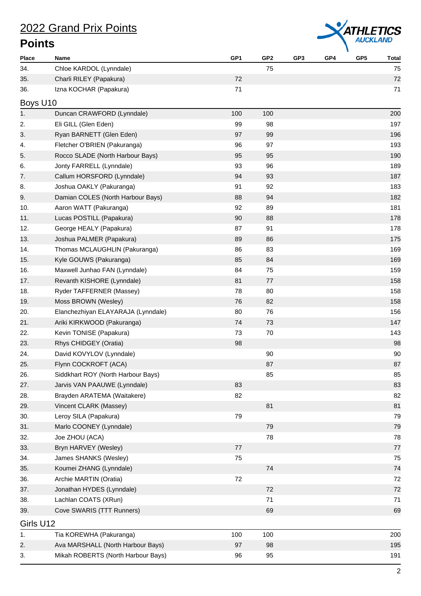

| <b>Place</b> | Name                               | GP1     | GP <sub>2</sub> | GP <sub>3</sub> | GP4 | GP <sub>5</sub> | <b>Total</b> |
|--------------|------------------------------------|---------|-----------------|-----------------|-----|-----------------|--------------|
| 34.          | Chloe KARDOL (Lynndale)            |         | 75              |                 |     |                 | 75           |
| 35.          | Charli RILEY (Papakura)            | 72      |                 |                 |     |                 | 72           |
| 36.          | Izna KOCHAR (Papakura)             | 71      |                 |                 |     |                 | 71           |
| Boys U10     |                                    |         |                 |                 |     |                 |              |
| 1.           | Duncan CRAWFORD (Lynndale)         | 100     | 100             |                 |     |                 | 200          |
| 2.           | Eli GILL (Glen Eden)               | 99      | 98              |                 |     |                 | 197          |
| 3.           | Ryan BARNETT (Glen Eden)           | 97      | 99              |                 |     |                 | 196          |
| 4.           | Fletcher O'BRIEN (Pakuranga)       | 96      | 97              |                 |     |                 | 193          |
| 5.           | Rocco SLADE (North Harbour Bays)   | 95      | 95              |                 |     |                 | 190          |
| 6.           | Jonty FARRELL (Lynndale)           | 93      | 96              |                 |     |                 | 189          |
| 7.           | Callum HORSFORD (Lynndale)         | 94      | 93              |                 |     |                 | 187          |
| 8.           | Joshua OAKLY (Pakuranga)           | 91      | 92              |                 |     |                 | 183          |
| 9.           | Damian COLES (North Harbour Bays)  | 88      | 94              |                 |     |                 | 182          |
| 10.          | Aaron WATT (Pakuranga)             | 92      | 89              |                 |     |                 | 181          |
| 11.          | Lucas POSTILL (Papakura)           | 90      | 88              |                 |     |                 | 178          |
| 12.          | George HEALY (Papakura)            | 87      | 91              |                 |     |                 | 178          |
| 13.          | Joshua PALMER (Papakura)           | 89      | 86              |                 |     |                 | 175          |
| 14.          | Thomas MCLAUGHLIN (Pakuranga)      | 86      | 83              |                 |     |                 | 169          |
| 15.          | Kyle GOUWS (Pakuranga)             | 85      | 84              |                 |     |                 | 169          |
| 16.          | Maxwell Junhao FAN (Lynndale)      | 84      | 75              |                 |     |                 | 159          |
| 17.          | Revanth KISHORE (Lynndale)         | 81      | 77              |                 |     |                 | 158          |
| 18.          | Ryder TAFFERNER (Massey)           | 78      | 80              |                 |     |                 | 158          |
| 19.          | Moss BROWN (Wesley)                | 76      | 82              |                 |     |                 | 158          |
| 20.          | Elanchezhiyan ELAYARAJA (Lynndale) | 80      | 76              |                 |     |                 | 156          |
| 21.          | Ariki KIRKWOOD (Pakuranga)         | 74      | 73              |                 |     |                 | 147          |
| 22.          | Kevin TONISE (Papakura)            | 73      | 70              |                 |     |                 | 143          |
| 23.          | Rhys CHIDGEY (Oratia)              | 98      |                 |                 |     |                 | 98           |
| 24.          | David KOVYLOV (Lynndale)           |         | 90              |                 |     |                 | 90           |
| 25.          | Flynn COCKROFT (ACA)               |         | 87              |                 |     |                 | 87           |
| 26.          | Siddkhart ROY (North Harbour Bays) |         | 85              |                 |     |                 | 85           |
| 27.          | Jarvis VAN PAAUWE (Lynndale)       | 83      |                 |                 |     |                 | 83           |
| 28.          | Brayden ARATEMA (Waitakere)        | 82      |                 |                 |     |                 | 82           |
| 29.          | Vincent CLARK (Massey)             |         | 81              |                 |     |                 | 81           |
| 30.          | Leroy SILA (Papakura)              | 79      |                 |                 |     |                 | 79           |
| 31.          | Marlo COONEY (Lynndale)            |         | 79              |                 |     |                 | 79           |
| 32.          | Joe ZHOU (ACA)                     |         | 78              |                 |     |                 | 78           |
| 33.          | Bryn HARVEY (Wesley)               | $77 \,$ |                 |                 |     |                 | 77           |
| 34.          | James SHANKS (Wesley)              | 75      |                 |                 |     |                 | 75           |
| 35.          | Koumei ZHANG (Lynndale)            |         | 74              |                 |     |                 | 74           |
| 36.          | Archie MARTIN (Oratia)             | 72      |                 |                 |     |                 | 72           |
| 37.          | Jonathan HYDES (Lynndale)          |         | 72              |                 |     |                 | 72           |
| 38.          | Lachlan COATS (XRun)               |         | 71              |                 |     |                 | 71           |
| 39.          | Cove SWARIS (TTT Runners)          |         | 69              |                 |     |                 | 69           |
|              |                                    |         |                 |                 |     |                 |              |
| Girls U12    |                                    |         |                 |                 |     |                 |              |
| 1.           | Tia KOREWHA (Pakuranga)            | 100     | 100             |                 |     |                 | 200          |
| 2.           | Ava MARSHALL (North Harbour Bays)  | 97      | 98              |                 |     |                 | 195          |
| 3.           | Mikah ROBERTS (North Harbour Bays) | 96      | 95              |                 |     |                 | 191          |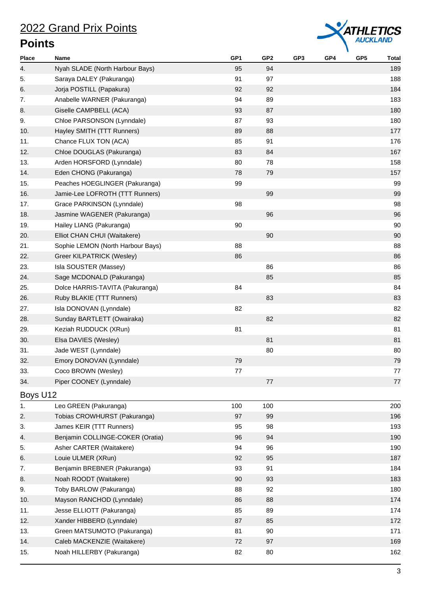

| <b>Place</b> | Name                              | GP <sub>1</sub> | GP <sub>2</sub> | GP <sub>3</sub> | GP4 | GP <sub>5</sub> | <b>Total</b> |
|--------------|-----------------------------------|-----------------|-----------------|-----------------|-----|-----------------|--------------|
| 4.           | Nyah SLADE (North Harbour Bays)   | 95              | 94              |                 |     |                 | 189          |
| 5.           | Saraya DALEY (Pakuranga)          | 91              | 97              |                 |     |                 | 188          |
| 6.           | Jorja POSTILL (Papakura)          | 92              | 92              |                 |     |                 | 184          |
| 7.           | Anabelle WARNER (Pakuranga)       | 94              | 89              |                 |     |                 | 183          |
| 8.           | Giselle CAMPBELL (ACA)            | 93              | 87              |                 |     |                 | 180          |
| 9.           | Chloe PARSONSON (Lynndale)        | 87              | 93              |                 |     |                 | 180          |
| 10.          | Hayley SMITH (TTT Runners)        | 89              | 88              |                 |     |                 | 177          |
| 11.          | Chance FLUX TON (ACA)             | 85              | 91              |                 |     |                 | 176          |
| 12.          | Chloe DOUGLAS (Pakuranga)         | 83              | 84              |                 |     |                 | 167          |
| 13.          | Arden HORSFORD (Lynndale)         | 80              | 78              |                 |     |                 | 158          |
| 14.          | Eden CHONG (Pakuranga)            | 78              | 79              |                 |     |                 | 157          |
| 15.          | Peaches HOEGLINGER (Pakuranga)    | 99              |                 |                 |     |                 | 99           |
| 16.          | Jamie-Lee LOFROTH (TTT Runners)   |                 | 99              |                 |     |                 | 99           |
| 17.          | Grace PARKINSON (Lynndale)        | 98              |                 |                 |     |                 | 98           |
| 18.          | Jasmine WAGENER (Pakuranga)       |                 | 96              |                 |     |                 | 96           |
| 19.          | Hailey LIANG (Pakuranga)          | 90              |                 |                 |     |                 | 90           |
| 20.          | Elliot CHAN CHUI (Waitakere)      |                 | 90              |                 |     |                 | 90           |
| 21.          | Sophie LEMON (North Harbour Bays) | 88              |                 |                 |     |                 | 88           |
| 22.          | Greer KILPATRICK (Wesley)         | 86              |                 |                 |     |                 | 86           |
| 23.          | Isla SOUSTER (Massey)             |                 | 86              |                 |     |                 | 86           |
| 24.          | Sage MCDONALD (Pakuranga)         |                 | 85              |                 |     |                 | 85           |
| 25.          | Dolce HARRIS-TAVITA (Pakuranga)   | 84              |                 |                 |     |                 | 84           |
| 26.          | Ruby BLAKIE (TTT Runners)         |                 | 83              |                 |     |                 | 83           |
| 27.          | Isla DONOVAN (Lynndale)           | 82              |                 |                 |     |                 | 82           |
| 28.          | Sunday BARTLETT (Owairaka)        |                 | 82              |                 |     |                 | 82           |
| 29.          | Keziah RUDDUCK (XRun)             | 81              |                 |                 |     |                 | 81           |
| 30.          | Elsa DAVIES (Wesley)              |                 | 81              |                 |     |                 | 81           |
| 31.          | Jade WEST (Lynndale)              |                 | 80              |                 |     |                 | 80           |
| 32.          | Emory DONOVAN (Lynndale)          | 79              |                 |                 |     |                 | 79           |
| 33.          | Coco BROWN (Wesley)               | 77              |                 |                 |     |                 | 77           |
| 34.          | Piper COONEY (Lynndale)           |                 | $77 \,$         |                 |     |                 | 77           |
| Boys U12     |                                   |                 |                 |                 |     |                 |              |
| 1.           | Leo GREEN (Pakuranga)             | 100             | 100             |                 |     |                 | 200          |
| 2.           | Tobias CROWHURST (Pakuranga)      | 97              | 99              |                 |     |                 | 196          |
| 3.           | James KEIR (TTT Runners)          | 95              | 98              |                 |     |                 | 193          |
| 4.           | Benjamin COLLINGE-COKER (Oratia)  | 96              | 94              |                 |     |                 | 190          |
| 5.           | Asher CARTER (Waitakere)          | 94              | 96              |                 |     |                 | 190          |
| 6.           | Louie ULMER (XRun)                | 92              | 95              |                 |     |                 | 187          |
| 7.           | Benjamin BREBNER (Pakuranga)      | 93              | 91              |                 |     |                 | 184          |
| 8.           | Noah ROODT (Waitakere)            | 90              | 93              |                 |     |                 | 183          |
| 9.           | Toby BARLOW (Pakuranga)           | 88              | 92              |                 |     |                 | 180          |
| 10.          | Mayson RANCHOD (Lynndale)         | 86              | 88              |                 |     |                 | 174          |
| 11.          | Jesse ELLIOTT (Pakuranga)         | 85              | 89              |                 |     |                 | 174          |
| 12.          | Xander HIBBERD (Lynndale)         | 87              | 85              |                 |     |                 | 172          |
| 13.          | Green MATSUMOTO (Pakuranga)       | 81              | 90              |                 |     |                 | 171          |
| 14.          | Caleb MACKENZIE (Waitakere)       | 72              | 97              |                 |     |                 | 169          |
| 15.          | Noah HILLERBY (Pakuranga)         | 82              | 80              |                 |     |                 | 162          |
|              |                                   |                 |                 |                 |     |                 |              |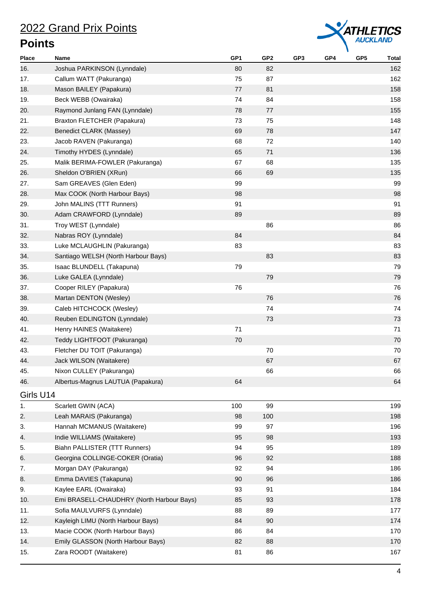

| <b>Place</b> | Name                                      | GP <sub>1</sub> | GP <sub>2</sub> | GP3 | GP4 | GP <sub>5</sub> | <b>Total</b> |
|--------------|-------------------------------------------|-----------------|-----------------|-----|-----|-----------------|--------------|
| 16.          | Joshua PARKINSON (Lynndale)               | 80              | 82              |     |     |                 | 162          |
| 17.          | Callum WATT (Pakuranga)                   | 75              | 87              |     |     |                 | 162          |
| 18.          | Mason BAILEY (Papakura)                   | 77              | 81              |     |     |                 | 158          |
| 19.          | Beck WEBB (Owairaka)                      | 74              | 84              |     |     |                 | 158          |
| 20.          | Raymond Junlang FAN (Lynndale)            | 78              | 77              |     |     |                 | 155          |
| 21.          | Braxton FLETCHER (Papakura)               | 73              | 75              |     |     |                 | 148          |
| 22.          | Benedict CLARK (Massey)                   | 69              | 78              |     |     |                 | 147          |
| 23.          | Jacob RAVEN (Pakuranga)                   | 68              | 72              |     |     |                 | 140          |
| 24.          | Timothy HYDES (Lynndale)                  | 65              | 71              |     |     |                 | 136          |
| 25.          | Malik BERIMA-FOWLER (Pakuranga)           | 67              | 68              |     |     |                 | 135          |
| 26.          | Sheldon O'BRIEN (XRun)                    | 66              | 69              |     |     |                 | 135          |
| 27.          | Sam GREAVES (Glen Eden)                   | 99              |                 |     |     |                 | 99           |
| 28.          | Max COOK (North Harbour Bays)             | 98              |                 |     |     |                 | 98           |
| 29.          | John MALINS (TTT Runners)                 | 91              |                 |     |     |                 | 91           |
| 30.          | Adam CRAWFORD (Lynndale)                  | 89              |                 |     |     |                 | 89           |
| 31.          | Troy WEST (Lynndale)                      |                 | 86              |     |     |                 | 86           |
| 32.          | Nabras ROY (Lynndale)                     | 84              |                 |     |     |                 | 84           |
| 33.          | Luke MCLAUGHLIN (Pakuranga)               | 83              |                 |     |     |                 | 83           |
| 34.          | Santiago WELSH (North Harbour Bays)       |                 | 83              |     |     |                 | 83           |
| 35.          | Isaac BLUNDELL (Takapuna)                 | 79              |                 |     |     |                 | 79           |
| 36.          | Luke GALEA (Lynndale)                     |                 | 79              |     |     |                 | 79           |
| 37.          | Cooper RILEY (Papakura)                   | 76              |                 |     |     |                 | 76           |
| 38.          | Martan DENTON (Wesley)                    |                 | 76              |     |     |                 | 76           |
| 39.          | Caleb HITCHCOCK (Wesley)                  |                 | 74              |     |     |                 | 74           |
| 40.          |                                           |                 | 73              |     |     |                 | 73           |
|              | Reuben EDLINGTON (Lynndale)               |                 |                 |     |     |                 |              |
| 41.          | Henry HAINES (Waitakere)                  | 71              |                 |     |     |                 | 71           |
| 42.          | Teddy LIGHTFOOT (Pakuranga)               | 70              |                 |     |     |                 | 70           |
| 43.          | Fletcher DU TOIT (Pakuranga)              |                 | 70              |     |     |                 | 70           |
| 44.          | Jack WILSON (Waitakere)                   |                 | 67              |     |     |                 | 67           |
| 45.          | Nixon CULLEY (Pakuranga)                  |                 | 66              |     |     |                 | 66           |
| 46.          | Albertus-Magnus LAUTUA (Papakura)         | 64              |                 |     |     |                 | 64           |
| Girls U14    |                                           |                 |                 |     |     |                 |              |
| 1.           | Scarlett GWIN (ACA)                       | 100             | 99              |     |     |                 | 199          |
| 2.           | Leah MARAIS (Pakuranga)                   | 98              | 100             |     |     |                 | 198          |
| 3.           | Hannah MCMANUS (Waitakere)                | 99              | 97              |     |     |                 | 196          |
| 4.           | Indie WILLIAMS (Waitakere)                | 95              | 98              |     |     |                 | 193          |
| 5.           | Biahn PALLISTER (TTT Runners)             | 94              | 95              |     |     |                 | 189          |
| 6.           | Georgina COLLINGE-COKER (Oratia)          | 96              | 92              |     |     |                 | 188          |
| 7.           | Morgan DAY (Pakuranga)                    | 92              | 94              |     |     |                 | 186          |
| 8.           | Emma DAVIES (Takapuna)                    | 90              | 96              |     |     |                 | 186          |
| 9.           | Kaylee EARL (Owairaka)                    | 93              | 91              |     |     |                 | 184          |
| 10.          | Emi BRASELL-CHAUDHRY (North Harbour Bays) | 85              | 93              |     |     |                 | 178          |
| 11.          | Sofia MAULVURFS (Lynndale)                | 88              | 89              |     |     |                 | 177          |
| 12.          | Kayleigh LIMU (North Harbour Bays)        | 84              | 90              |     |     |                 | 174          |
| 13.          | Macie COOK (North Harbour Bays)           | 86              | 84              |     |     |                 | 170          |
| 14.          | Emily GLASSON (North Harbour Bays)        | 82              | 88              |     |     |                 | 170          |
| 15.          | Zara ROODT (Waitakere)                    | 81              | 86              |     |     |                 | 167          |
|              |                                           |                 |                 |     |     |                 |              |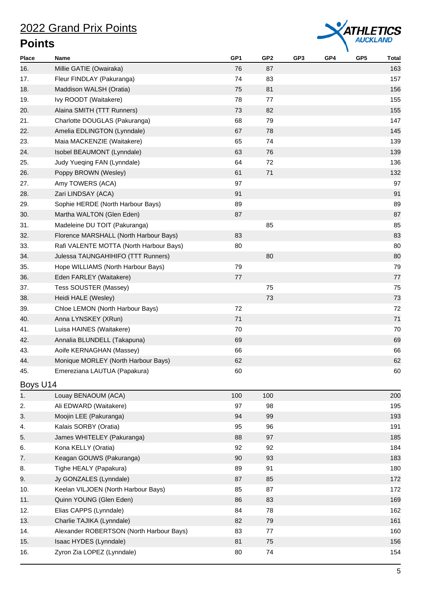

| <b>Place</b> | Name                                     | GP <sub>1</sub> | GP <sub>2</sub> | GP3 | GP4 | GP <sub>5</sub> | <b>Total</b> |
|--------------|------------------------------------------|-----------------|-----------------|-----|-----|-----------------|--------------|
| 16.          | Millie GATIE (Owairaka)                  | 76              | 87              |     |     |                 | 163          |
| 17.          | Fleur FINDLAY (Pakuranga)                | 74              | 83              |     |     |                 | 157          |
| 18.          | Maddison WALSH (Oratia)                  | 75              | 81              |     |     |                 | 156          |
| 19.          | Ivy ROODT (Waitakere)                    | 78              | 77              |     |     |                 | 155          |
| 20.          | Alaina SMITH (TTT Runners)               | 73              | 82              |     |     |                 | 155          |
| 21.          | Charlotte DOUGLAS (Pakuranga)            | 68              | 79              |     |     |                 | 147          |
| 22.          | Amelia EDLINGTON (Lynndale)              | 67              | 78              |     |     |                 | 145          |
| 23.          | Maia MACKENZIE (Waitakere)               | 65              | 74              |     |     |                 | 139          |
| 24.          | Isobel BEAUMONT (Lynndale)               | 63              | 76              |     |     |                 | 139          |
| 25.          | Judy Yueqing FAN (Lynndale)              | 64              | 72              |     |     |                 | 136          |
| 26.          | Poppy BROWN (Wesley)                     | 61              | 71              |     |     |                 | 132          |
| 27.          | Amy TOWERS (ACA)                         | 97              |                 |     |     |                 | 97           |
| 28.          | Zari LINDSAY (ACA)                       | 91              |                 |     |     |                 | 91           |
| 29.          | Sophie HERDE (North Harbour Bays)        | 89              |                 |     |     |                 | 89           |
| 30.          | Martha WALTON (Glen Eden)                | 87              |                 |     |     |                 | 87           |
| 31.          | Madeleine DU TOIT (Pakuranga)            |                 | 85              |     |     |                 | 85           |
| 32.          | Florence MARSHALL (North Harbour Bays)   | 83              |                 |     |     |                 | 83           |
| 33.          | Rafi VALENTE MOTTA (North Harbour Bays)  | 80              |                 |     |     |                 | 80           |
| 34.          | Julessa TAUNGAHIHIFO (TTT Runners)       |                 | 80              |     |     |                 | 80           |
| 35.          | Hope WILLIAMS (North Harbour Bays)       | 79              |                 |     |     |                 | 79           |
| 36.          | Eden FARLEY (Waitakere)                  | 77              |                 |     |     |                 | 77           |
| 37.          | Tess SOUSTER (Massey)                    |                 | 75              |     |     |                 | 75           |
| 38.          | Heidi HALE (Wesley)                      |                 | 73              |     |     |                 | 73           |
| 39.          | Chloe LEMON (North Harbour Bays)         | 72              |                 |     |     |                 | 72           |
| 40.          | Anna LYNSKEY (XRun)                      | 71              |                 |     |     |                 | 71           |
| 41.          | Luisa HAINES (Waitakere)                 | 70              |                 |     |     |                 | 70           |
| 42.          | Annalia BLUNDELL (Takapuna)              | 69              |                 |     |     |                 | 69           |
| 43.          | Aoife KERNAGHAN (Massey)                 | 66              |                 |     |     |                 | 66           |
| 44.          | Monique MORLEY (North Harbour Bays)      | 62              |                 |     |     |                 | 62           |
| 45.          | Emereziana LAUTUA (Papakura)             | 60              |                 |     |     |                 | 60           |
| Boys U14     |                                          |                 |                 |     |     |                 |              |
| 1.           | Louay BENAOUM (ACA)                      | 100             | 100             |     |     |                 | 200          |
| 2.           | Ali EDWARD (Waitakere)                   | 97              | 98              |     |     |                 | 195          |
| 3.           | Moojin LEE (Pakuranga)                   | 94              | 99              |     |     |                 | 193          |
| 4.           | Kalais SORBY (Oratia)                    | 95              | 96              |     |     |                 | 191          |
| 5.           | James WHITELEY (Pakuranga)               | 88              | 97              |     |     |                 | 185          |
| 6.           | Kona KELLY (Oratia)                      | 92              | 92              |     |     |                 | 184          |
| 7.           | Keagan GOUWS (Pakuranga)                 | 90              | 93              |     |     |                 | 183          |
| 8.           | Tighe HEALY (Papakura)                   | 89              | 91              |     |     |                 | 180          |
| 9.           | Jy GONZALES (Lynndale)                   | 87              | 85              |     |     |                 | 172          |
| 10.          | Keelan VILJOEN (North Harbour Bays)      | 85              | 87              |     |     |                 | 172          |
| 11.          | Quinn YOUNG (Glen Eden)                  | 86              | 83              |     |     |                 | 169          |
| 12.          | Elias CAPPS (Lynndale)                   | 84              | 78              |     |     |                 | 162          |
| 13.          | Charlie TAJIKA (Lynndale)                | 82              | 79              |     |     |                 | 161          |
| 14.          | Alexander ROBERTSON (North Harbour Bays) | 83              | 77              |     |     |                 | 160          |
| 15.          | Isaac HYDES (Lynndale)                   | 81              | 75              |     |     |                 | 156          |
| 16.          | Zyron Zia LOPEZ (Lynndale)               | 80              | 74              |     |     |                 | 154          |
|              |                                          |                 |                 |     |     |                 |              |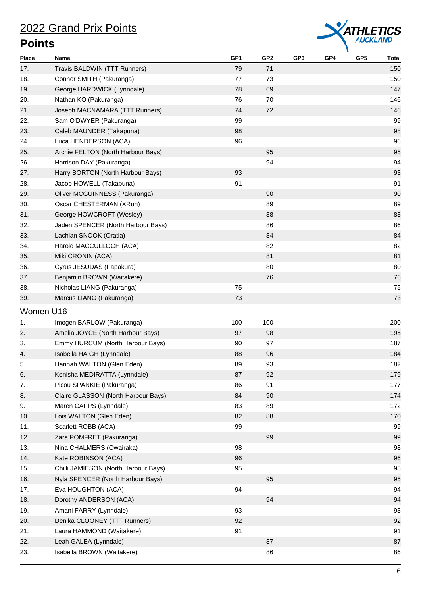

| <b>Place</b> | Name                                 | GP <sub>1</sub> | GP2 | GP <sub>3</sub> | GP4 | GP <sub>5</sub> | <b>Total</b> |
|--------------|--------------------------------------|-----------------|-----|-----------------|-----|-----------------|--------------|
| 17.          | Travis BALDWIN (TTT Runners)         | 79              | 71  |                 |     |                 | 150          |
| 18.          | Connor SMITH (Pakuranga)             | 77              | 73  |                 |     |                 | 150          |
| 19.          | George HARDWICK (Lynndale)           | 78              | 69  |                 |     |                 | 147          |
| 20.          | Nathan KO (Pakuranga)                | 76              | 70  |                 |     |                 | 146          |
| 21.          | Joseph MACNAMARA (TTT Runners)       | 74              | 72  |                 |     |                 | 146          |
| 22.          | Sam O'DWYER (Pakuranga)              | 99              |     |                 |     |                 | 99           |
| 23.          | Caleb MAUNDER (Takapuna)             | 98              |     |                 |     |                 | 98           |
| 24.          | Luca HENDERSON (ACA)                 | 96              |     |                 |     |                 | 96           |
| 25.          | Archie FELTON (North Harbour Bays)   |                 | 95  |                 |     |                 | 95           |
| 26.          | Harrison DAY (Pakuranga)             |                 | 94  |                 |     |                 | 94           |
| 27.          | Harry BORTON (North Harbour Bays)    | 93              |     |                 |     |                 | 93           |
| 28.          | Jacob HOWELL (Takapuna)              | 91              |     |                 |     |                 | 91           |
| 29.          | Oliver MCGUINNESS (Pakuranga)        |                 | 90  |                 |     |                 | 90           |
| 30.          | Oscar CHESTERMAN (XRun)              |                 | 89  |                 |     |                 | 89           |
| 31.          | George HOWCROFT (Wesley)             |                 | 88  |                 |     |                 | 88           |
| 32.          | Jaden SPENCER (North Harbour Bays)   |                 | 86  |                 |     |                 | 86           |
| 33.          | Lachlan SNOOK (Oratia)               |                 | 84  |                 |     |                 | 84           |
| 34.          | Harold MACCULLOCH (ACA)              |                 | 82  |                 |     |                 | 82           |
| 35.          | Miki CRONIN (ACA)                    |                 | 81  |                 |     |                 | 81           |
| 36.          | Cyrus JESUDAS (Papakura)             |                 | 80  |                 |     |                 | 80           |
| 37.          | Benjamin BROWN (Waitakere)           |                 | 76  |                 |     |                 | 76           |
| 38.          | Nicholas LIANG (Pakuranga)           | 75              |     |                 |     |                 | 75           |
| 39.          | Marcus LIANG (Pakuranga)             | 73              |     |                 |     |                 | 73           |
| Women U16    |                                      |                 |     |                 |     |                 |              |
| 1.           | Imogen BARLOW (Pakuranga)            | 100             | 100 |                 |     |                 | 200          |
| 2.           | Amelia JOYCE (North Harbour Bays)    | 97              | 98  |                 |     |                 | 195          |
| 3.           | Emmy HURCUM (North Harbour Bays)     | 90              | 97  |                 |     |                 | 187          |
| 4.           | Isabella HAIGH (Lynndale)            | 88              | 96  |                 |     |                 | 184          |
| 5.           | Hannah WALTON (Glen Eden)            | 89              | 93  |                 |     |                 | 182          |
| 6.           | Kenisha MEDIRATTA (Lynndale)         | 87              | 92  |                 |     |                 | 179          |
| 7.           | Picou SPANKIE (Pakuranga)            | 86              | 91  |                 |     |                 | 177          |
| 8.           | Claire GLASSON (North Harbour Bays)  | 84              | 90  |                 |     |                 | 174          |
| 9.           | Maren CAPPS (Lynndale)               | 83              | 89  |                 |     |                 | 172          |
| 10.          | Lois WALTON (Glen Eden)              | 82              | 88  |                 |     |                 | 170          |
| 11.          | Scarlett ROBB (ACA)                  | 99              |     |                 |     |                 | 99           |
| 12.          | Zara POMFRET (Pakuranga)             |                 | 99  |                 |     |                 | 99           |
| 13.          | Nina CHALMERS (Owairaka)             | 98              |     |                 |     |                 | 98           |
| 14.          | Kate ROBINSON (ACA)                  | 96              |     |                 |     |                 | 96           |
| 15.          | Chilli JAMIESON (North Harbour Bays) | 95              |     |                 |     |                 | 95           |
| 16.          | Nyla SPENCER (North Harbour Bays)    |                 | 95  |                 |     |                 | 95           |
| 17.          | Eva HOUGHTON (ACA)                   | 94              |     |                 |     |                 | 94           |
| 18.          | Dorothy ANDERSON (ACA)               |                 | 94  |                 |     |                 | 94           |
| 19.          | Amani FARRY (Lynndale)               | 93              |     |                 |     |                 | 93           |
| 20.          | Denika CLOONEY (TTT Runners)         | 92              |     |                 |     |                 | 92           |
| 21.          | Laura HAMMOND (Waitakere)            | 91              |     |                 |     |                 | 91           |
| 22.          | Leah GALEA (Lynndale)                |                 | 87  |                 |     |                 | 87           |
| 23.          | Isabella BROWN (Waitakere)           |                 | 86  |                 |     |                 | 86           |
|              |                                      |                 |     |                 |     |                 |              |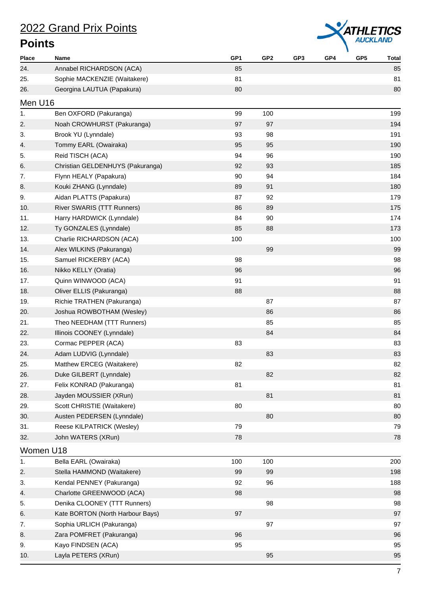

| <b>Place</b> | Name                             | GP <sub>1</sub> | GP <sub>2</sub> | GP3 | GP4 | GP <sub>5</sub> | <b>Total</b> |
|--------------|----------------------------------|-----------------|-----------------|-----|-----|-----------------|--------------|
| 24.          | Annabel RICHARDSON (ACA)         | 85              |                 |     |     |                 | 85           |
| 25.          | Sophie MACKENZIE (Waitakere)     | 81              |                 |     |     |                 | 81           |
| 26.          | Georgina LAUTUA (Papakura)       | 80              |                 |     |     |                 | 80           |
| Men U16      |                                  |                 |                 |     |     |                 |              |
| 1.           | Ben OXFORD (Pakuranga)           | 99              | 100             |     |     |                 | 199          |
| 2.           | Noah CROWHURST (Pakuranga)       | 97              | 97              |     |     |                 | 194          |
| 3.           | Brook YU (Lynndale)              | 93              | 98              |     |     |                 | 191          |
| 4.           | Tommy EARL (Owairaka)            | 95              | 95              |     |     |                 | 190          |
| 5.           | Reid TISCH (ACA)                 | 94              | 96              |     |     |                 | 190          |
| 6.           | Christian GELDENHUYS (Pakuranga) | 92              | 93              |     |     |                 | 185          |
| 7.           | Flynn HEALY (Papakura)           | 90              | 94              |     |     |                 | 184          |
| 8.           | Kouki ZHANG (Lynndale)           | 89              | 91              |     |     |                 | 180          |
| 9.           | Aidan PLATTS (Papakura)          | 87              | 92              |     |     |                 | 179          |
| 10.          | River SWARIS (TTT Runners)       | 86              | 89              |     |     |                 | 175          |
| 11.          | Harry HARDWICK (Lynndale)        | 84              | 90              |     |     |                 | 174          |
| 12.          | Ty GONZALES (Lynndale)           | 85              | 88              |     |     |                 | 173          |
| 13.          | Charlie RICHARDSON (ACA)         | 100             |                 |     |     |                 | 100          |
| 14.          | Alex WILKINS (Pakuranga)         |                 | 99              |     |     |                 | 99           |
| 15.          | Samuel RICKERBY (ACA)            | 98              |                 |     |     |                 | 98           |
| 16.          | Nikko KELLY (Oratia)             | 96              |                 |     |     |                 | 96           |
| 17.          | Quinn WINWOOD (ACA)              | 91              |                 |     |     |                 | 91           |
| 18.          | Oliver ELLIS (Pakuranga)         | 88              |                 |     |     |                 | 88           |
| 19.          | Richie TRATHEN (Pakuranga)       |                 | 87              |     |     |                 | 87           |
| 20.          | Joshua ROWBOTHAM (Wesley)        |                 | 86              |     |     |                 | 86           |
| 21.          | Theo NEEDHAM (TTT Runners)       |                 | 85              |     |     |                 | 85           |
| 22.          | Illinois COONEY (Lynndale)       |                 | 84              |     |     |                 | 84           |
| 23.          | Cormac PEPPER (ACA)              | 83              |                 |     |     |                 | 83           |
| 24.          | Adam LUDVIG (Lynndale)           |                 | 83              |     |     |                 | 83           |
| 25.          | Matthew ERCEG (Waitakere)        | 82              |                 |     |     |                 | 82           |
| 26.          | Duke GILBERT (Lynndale)          |                 | 82              |     |     |                 | 82           |
| 27.          | Felix KONRAD (Pakuranga)         | 81              |                 |     |     |                 | 81           |
| 28.          | Jayden MOUSSIER (XRun)           |                 | 81              |     |     |                 | 81           |
| 29.          | Scott CHRISTIE (Waitakere)       | 80              |                 |     |     |                 | 80           |
| 30.          | Austen PEDERSEN (Lynndale)       |                 | 80              |     |     |                 | 80           |
| 31.          | Reese KILPATRICK (Wesley)        | 79              |                 |     |     |                 | 79           |
| 32.          | John WATERS (XRun)               | 78              |                 |     |     |                 | 78           |
| Women U18    |                                  |                 |                 |     |     |                 |              |
| 1.           | Bella EARL (Owairaka)            | 100             | 100             |     |     |                 | 200          |
| 2.           | Stella HAMMOND (Waitakere)       | 99              | 99              |     |     |                 | 198          |
| 3.           | Kendal PENNEY (Pakuranga)        | 92              | 96              |     |     |                 | 188          |
| 4.           | Charlotte GREENWOOD (ACA)        | 98              |                 |     |     |                 | 98           |
| 5.           | Denika CLOONEY (TTT Runners)     |                 | 98              |     |     |                 | 98           |
| 6.           | Kate BORTON (North Harbour Bays) | 97              |                 |     |     |                 | 97           |
| 7.           | Sophia URLICH (Pakuranga)        |                 | 97              |     |     |                 | 97           |
| 8.           | Zara POMFRET (Pakuranga)         | 96              |                 |     |     |                 | 96           |
| 9.           | Kayo FINDSEN (ACA)               | 95              |                 |     |     |                 | 95           |
| 10.          | Layla PETERS (XRun)              |                 | 95              |     |     |                 | 95           |
|              |                                  |                 |                 |     |     |                 |              |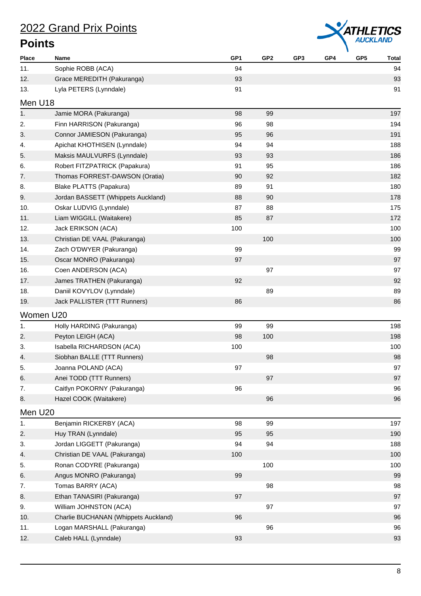

| Place     | Name                                 | GP1 | GP <sub>2</sub> | GP <sub>3</sub> | GP4 | GP <sub>5</sub> | <b>Total</b> |
|-----------|--------------------------------------|-----|-----------------|-----------------|-----|-----------------|--------------|
| 11.       | Sophie ROBB (ACA)                    | 94  |                 |                 |     |                 | 94           |
| 12.       | Grace MEREDITH (Pakuranga)           | 93  |                 |                 |     |                 | 93           |
| 13.       | Lyla PETERS (Lynndale)               | 91  |                 |                 |     |                 | 91           |
| Men U18   |                                      |     |                 |                 |     |                 |              |
| 1.        | Jamie MORA (Pakuranga)               | 98  | 99              |                 |     |                 | 197          |
| 2.        | Finn HARRISON (Pakuranga)            | 96  | 98              |                 |     |                 | 194          |
| 3.        | Connor JAMIESON (Pakuranga)          | 95  | 96              |                 |     |                 | 191          |
| 4.        | Apichat KHOTHISEN (Lynndale)         | 94  | 94              |                 |     |                 | 188          |
| 5.        | Maksis MAULVURFS (Lynndale)          | 93  | 93              |                 |     |                 | 186          |
| 6.        | Robert FITZPATRICK (Papakura)        | 91  | 95              |                 |     |                 | 186          |
| 7.        | Thomas FORREST-DAWSON (Oratia)       | 90  | 92              |                 |     |                 | 182          |
| 8.        | Blake PLATTS (Papakura)              | 89  | 91              |                 |     |                 | 180          |
| 9.        | Jordan BASSETT (Whippets Auckland)   | 88  | 90              |                 |     |                 | 178          |
| 10.       | Oskar LUDVIG (Lynndale)              | 87  | 88              |                 |     |                 | 175          |
| 11.       | Liam WIGGILL (Waitakere)             | 85  | 87              |                 |     |                 | 172          |
| 12.       | Jack ERIKSON (ACA)                   | 100 |                 |                 |     |                 | 100          |
| 13.       | Christian DE VAAL (Pakuranga)        |     | 100             |                 |     |                 | 100          |
| 14.       | Zach O'DWYER (Pakuranga)             | 99  |                 |                 |     |                 | 99           |
| 15.       | Oscar MONRO (Pakuranga)              | 97  |                 |                 |     |                 | 97           |
| 16.       | Coen ANDERSON (ACA)                  |     | 97              |                 |     |                 | 97           |
| 17.       | James TRATHEN (Pakuranga)            | 92  |                 |                 |     |                 | 92           |
| 18.       | Daniil KOVYLOV (Lynndale)            |     | 89              |                 |     |                 | 89           |
| 19.       | Jack PALLISTER (TTT Runners)         | 86  |                 |                 |     |                 | 86           |
| Women U20 |                                      |     |                 |                 |     |                 |              |
| 1.        | Holly HARDING (Pakuranga)            | 99  | 99              |                 |     |                 | 198          |
| 2.        | Peyton LEIGH (ACA)                   | 98  | 100             |                 |     |                 | 198          |
| 3.        | Isabella RICHARDSON (ACA)            | 100 |                 |                 |     |                 | 100          |
| 4.        | Siobhan BALLE (TTT Runners)          |     | 98              |                 |     |                 | 98           |
| 5.        | Joanna POLAND (ACA)                  | 97  |                 |                 |     |                 | 97           |
| 6.        | Anei TODD (TTT Runners)              |     | 97              |                 |     |                 | 97           |
| 7.        | Caitlyn POKORNY (Pakuranga)          | 96  |                 |                 |     |                 | 96           |
| 8.        | Hazel COOK (Waitakere)               |     | 96              |                 |     |                 | 96           |
| Men U20   |                                      |     |                 |                 |     |                 |              |
| 1.        | Benjamin RICKERBY (ACA)              | 98  | 99              |                 |     |                 | 197          |
| 2.        | Huy TRAN (Lynndale)                  | 95  | 95              |                 |     |                 | 190          |
| 3.        | Jordan LIGGETT (Pakuranga)           | 94  | 94              |                 |     |                 | 188          |
| 4.        | Christian DE VAAL (Pakuranga)        | 100 |                 |                 |     |                 | 100          |
| 5.        | Ronan CODYRE (Pakuranga)             |     | 100             |                 |     |                 | 100          |
| 6.        | Angus MONRO (Pakuranga)              | 99  |                 |                 |     |                 | 99           |
| 7.        | Tomas BARRY (ACA)                    |     | 98              |                 |     |                 | 98           |
| 8.        | Ethan TANASIRI (Pakuranga)           | 97  |                 |                 |     |                 | 97           |
| 9.        | William JOHNSTON (ACA)               |     | 97              |                 |     |                 | 97           |
| 10.       | Charlie BUCHANAN (Whippets Auckland) | 96  |                 |                 |     |                 | 96           |
| 11.       | Logan MARSHALL (Pakuranga)           |     | 96              |                 |     |                 | 96           |
| 12.       | Caleb HALL (Lynndale)                | 93  |                 |                 |     |                 | 93           |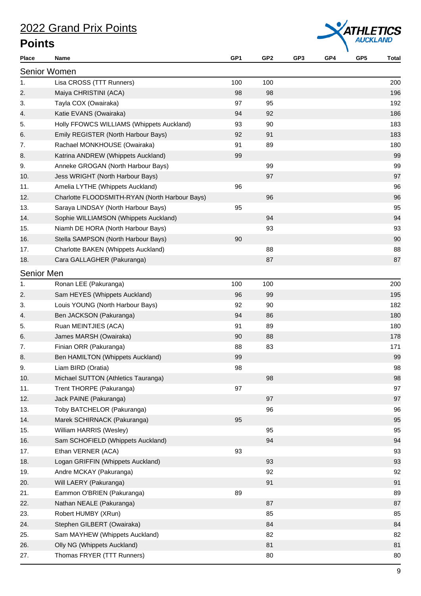

| <b>Place</b>      | Name                                           | GP1 | GP2 | GP3 | GP4 | GP <sub>5</sub> | <b>Total</b> |
|-------------------|------------------------------------------------|-----|-----|-----|-----|-----------------|--------------|
|                   | <b>Senior Women</b>                            |     |     |     |     |                 |              |
| 1.                | Lisa CROSS (TTT Runners)                       | 100 | 100 |     |     |                 | 200          |
| 2.                | Maiya CHRISTINI (ACA)                          | 98  | 98  |     |     |                 | 196          |
| 3.                | Tayla COX (Owairaka)                           | 97  | 95  |     |     |                 | 192          |
| 4.                | Katie EVANS (Owairaka)                         | 94  | 92  |     |     |                 | 186          |
| 5.                | Holly FFOWCS WILLIAMS (Whippets Auckland)      | 93  | 90  |     |     |                 | 183          |
| 6.                | Emily REGISTER (North Harbour Bays)            | 92  | 91  |     |     |                 | 183          |
| 7.                | Rachael MONKHOUSE (Owairaka)                   | 91  | 89  |     |     |                 | 180          |
| 8.                | Katrina ANDREW (Whippets Auckland)             | 99  |     |     |     |                 | 99           |
| 9.                | Anneke GROGAN (North Harbour Bays)             |     | 99  |     |     |                 | 99           |
| 10.               | Jess WRIGHT (North Harbour Bays)               |     | 97  |     |     |                 | 97           |
| 11.               | Amelia LYTHE (Whippets Auckland)               | 96  |     |     |     |                 | 96           |
| 12.               | Charlotte FLOODSMITH-RYAN (North Harbour Bays) |     | 96  |     |     |                 | 96           |
| 13.               | Saraya LINDSAY (North Harbour Bays)            | 95  |     |     |     |                 | 95           |
| 14.               | Sophie WILLIAMSON (Whippets Auckland)          |     | 94  |     |     |                 | 94           |
| 15.               | Niamh DE HORA (North Harbour Bays)             |     | 93  |     |     |                 | 93           |
| 16.               | Stella SAMPSON (North Harbour Bays)            | 90  |     |     |     |                 | 90           |
| 17.               | Charlotte BAKEN (Whippets Auckland)            |     | 88  |     |     |                 | 88           |
| 18.               | Cara GALLAGHER (Pakuranga)                     |     | 87  |     |     |                 | 87           |
| <b>Senior Men</b> |                                                |     |     |     |     |                 |              |
| 1.                | Ronan LEE (Pakuranga)                          | 100 | 100 |     |     |                 | 200          |
| 2.                | Sam HEYES (Whippets Auckland)                  | 96  | 99  |     |     |                 | 195          |
| 3.                | Louis YOUNG (North Harbour Bays)               | 92  | 90  |     |     |                 | 182          |
| 4.                | Ben JACKSON (Pakuranga)                        | 94  | 86  |     |     |                 | 180          |
| 5.                | Ruan MEINTJIES (ACA)                           | 91  | 89  |     |     |                 | 180          |
| 6.                | James MARSH (Owairaka)                         | 90  | 88  |     |     |                 | 178          |
| 7.                | Finian ORR (Pakuranga)                         | 88  | 83  |     |     |                 | 171          |
| 8.                | Ben HAMILTON (Whippets Auckland)               | 99  |     |     |     |                 | 99           |
| 9.                | Liam BIRD (Oratia)                             | 98  |     |     |     |                 | 98           |
| 10.               | Michael SUTTON (Athletics Tauranga)            |     | 98  |     |     |                 | 98           |
| 11.               | Trent THORPE (Pakuranga)                       | 97  |     |     |     |                 | 97           |
| 12.               | Jack PAINE (Pakuranga)                         |     | 97  |     |     |                 | 97           |
| 13.               | Toby BATCHELOR (Pakuranga)                     |     | 96  |     |     |                 | 96           |
| 14.               | Marek SCHIRNACK (Pakuranga)                    | 95  |     |     |     |                 | 95           |
| 15.               | William HARRIS (Wesley)                        |     | 95  |     |     |                 | 95           |
| 16.               | Sam SCHOFIELD (Whippets Auckland)              |     | 94  |     |     |                 | 94           |
| 17.               | Ethan VERNER (ACA)                             | 93  |     |     |     |                 | 93           |
| 18.               | Logan GRIFFIN (Whippets Auckland)              |     | 93  |     |     |                 | 93           |
| 19.               | Andre MCKAY (Pakuranga)                        |     | 92  |     |     |                 | 92           |
| 20.               | Will LAERY (Pakuranga)                         |     | 91  |     |     |                 | 91           |
| 21.               | Eammon O'BRIEN (Pakuranga)                     | 89  |     |     |     |                 | 89           |
| 22.               | Nathan NEALE (Pakuranga)                       |     | 87  |     |     |                 | 87           |
| 23.               | Robert HUMBY (XRun)                            |     | 85  |     |     |                 | 85           |
| 24.               | Stephen GILBERT (Owairaka)                     |     | 84  |     |     |                 | 84           |
| 25.               | Sam MAYHEW (Whippets Auckland)                 |     | 82  |     |     |                 | 82           |
| 26.               | Olly NG (Whippets Auckland)                    |     | 81  |     |     |                 | 81           |
| 27.               | Thomas FRYER (TTT Runners)                     |     | 80  |     |     |                 | 80           |
|                   |                                                |     |     |     |     |                 |              |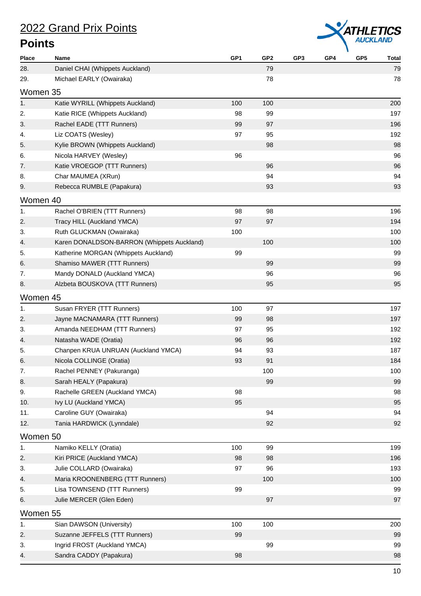

| Place    | Name                                       | GP1 | GP2 | GP <sub>3</sub> | GP4 | GP <sub>5</sub> | <b>Total</b> |
|----------|--------------------------------------------|-----|-----|-----------------|-----|-----------------|--------------|
| 28.      | Daniel CHAI (Whippets Auckland)            |     | 79  |                 |     |                 | 79           |
| 29.      | Michael EARLY (Owairaka)                   |     | 78  |                 |     |                 | 78           |
| Women 35 |                                            |     |     |                 |     |                 |              |
| 1.       | Katie WYRILL (Whippets Auckland)           | 100 | 100 |                 |     |                 | 200          |
| 2.       | Katie RICE (Whippets Auckland)             | 98  | 99  |                 |     |                 | 197          |
| 3.       | Rachel EADE (TTT Runners)                  | 99  | 97  |                 |     |                 | 196          |
| 4.       | Liz COATS (Wesley)                         | 97  | 95  |                 |     |                 | 192          |
| 5.       | Kylie BROWN (Whippets Auckland)            |     | 98  |                 |     |                 | 98           |
| 6.       | Nicola HARVEY (Wesley)                     | 96  |     |                 |     |                 | 96           |
| 7.       | Katie VROEGOP (TTT Runners)                |     | 96  |                 |     |                 | 96           |
| 8.       | Char MAUMEA (XRun)                         |     | 94  |                 |     |                 | 94           |
| 9.       | Rebecca RUMBLE (Papakura)                  |     | 93  |                 |     |                 | 93           |
| Women 40 |                                            |     |     |                 |     |                 |              |
| 1.       | Rachel O'BRIEN (TTT Runners)               | 98  | 98  |                 |     |                 | 196          |
| 2.       | Tracy HILL (Auckland YMCA)                 | 97  | 97  |                 |     |                 | 194          |
| 3.       | Ruth GLUCKMAN (Owairaka)                   | 100 |     |                 |     |                 | 100          |
| 4.       | Karen DONALDSON-BARRON (Whippets Auckland) |     | 100 |                 |     |                 | 100          |
| 5.       | Katherine MORGAN (Whippets Auckland)       | 99  |     |                 |     |                 | 99           |
| 6.       | Shamiso MAWER (TTT Runners)                |     | 99  |                 |     |                 | 99           |
| 7.       | Mandy DONALD (Auckland YMCA)               |     | 96  |                 |     |                 | 96           |
| 8.       | Alzbeta BOUSKOVA (TTT Runners)             |     | 95  |                 |     |                 | 95           |
| Women 45 |                                            |     |     |                 |     |                 |              |
| 1.       | Susan FRYER (TTT Runners)                  | 100 | 97  |                 |     |                 | 197          |
| 2.       | Jayne MACNAMARA (TTT Runners)              | 99  | 98  |                 |     |                 | 197          |
| 3.       | Amanda NEEDHAM (TTT Runners)               | 97  | 95  |                 |     |                 | 192          |
| 4.       | Natasha WADE (Oratia)                      | 96  | 96  |                 |     |                 | 192          |
| 5.       | Chanpen KRUA UNRUAN (Auckland YMCA)        | 94  | 93  |                 |     |                 | 187          |
| 6.       | Nicola COLLINGE (Oratia)                   | 93  | 91  |                 |     |                 | 184          |
| 7.       | Rachel PENNEY (Pakuranga)                  |     | 100 |                 |     |                 | 100          |
| 8.       | Sarah HEALY (Papakura)                     |     | 99  |                 |     |                 | 99           |
| 9.       | Rachelle GREEN (Auckland YMCA)             | 98  |     |                 |     |                 | 98           |
| 10.      | Ivy LU (Auckland YMCA)                     | 95  |     |                 |     |                 | 95           |
| 11.      | Caroline GUY (Owairaka)                    |     | 94  |                 |     |                 | 94           |
| 12.      | Tania HARDWICK (Lynndale)                  |     | 92  |                 |     |                 | 92           |
| Women 50 |                                            |     |     |                 |     |                 |              |
| 1.       | Namiko KELLY (Oratia)                      | 100 | 99  |                 |     |                 | 199          |
| 2.       | Kiri PRICE (Auckland YMCA)                 | 98  | 98  |                 |     |                 | 196          |
| 3.       | Julie COLLARD (Owairaka)                   | 97  | 96  |                 |     |                 | 193          |
| 4.       | Maria KROONENBERG (TTT Runners)            |     | 100 |                 |     |                 | 100          |
| 5.       | Lisa TOWNSEND (TTT Runners)                | 99  |     |                 |     |                 | 99           |
| 6.       | Julie MERCER (Glen Eden)                   |     | 97  |                 |     |                 | 97           |
| Women 55 |                                            |     |     |                 |     |                 |              |
| 1.       | Sian DAWSON (University)                   | 100 | 100 |                 |     |                 | 200          |
| 2.       | Suzanne JEFFELS (TTT Runners)              | 99  |     |                 |     |                 | 99           |
| 3.       | Ingrid FROST (Auckland YMCA)               |     | 99  |                 |     |                 | 99           |
| 4.       | Sandra CADDY (Papakura)                    | 98  |     |                 |     |                 | 98           |
|          |                                            |     |     |                 |     |                 |              |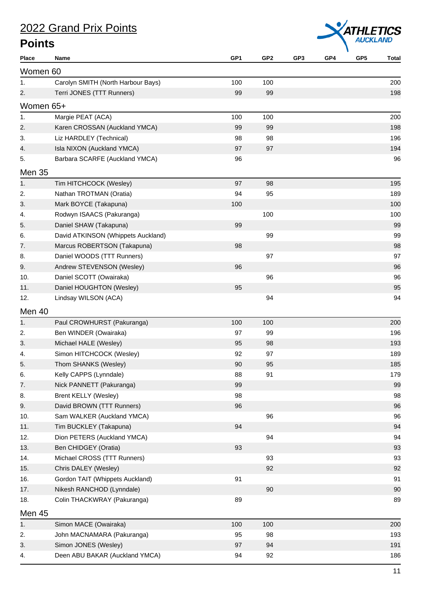

| Place     | Name                               | GP <sub>1</sub> | GP <sub>2</sub> | GP <sub>3</sub> | GP4 | GP <sub>5</sub> | <b>Total</b> |
|-----------|------------------------------------|-----------------|-----------------|-----------------|-----|-----------------|--------------|
| Women 60  |                                    |                 |                 |                 |     |                 |              |
| 1.        | Carolyn SMITH (North Harbour Bays) | 100             | 100             |                 |     |                 | 200          |
| 2.        | Terri JONES (TTT Runners)          | 99              | 99              |                 |     |                 | 198          |
| Women 65+ |                                    |                 |                 |                 |     |                 |              |
| 1.        | Margie PEAT (ACA)                  | 100             | 100             |                 |     |                 | 200          |
| 2.        | Karen CROSSAN (Auckland YMCA)      | 99              | 99              |                 |     |                 | 198          |
| 3.        | Liz HARDLEY (Technical)            | 98              | 98              |                 |     |                 | 196          |
| 4.        | Isla NIXON (Auckland YMCA)         | 97              | 97              |                 |     |                 | 194          |
| 5.        | Barbara SCARFE (Auckland YMCA)     | 96              |                 |                 |     |                 | 96           |
| Men 35    |                                    |                 |                 |                 |     |                 |              |
| 1.        | Tim HITCHCOCK (Wesley)             | 97              | 98              |                 |     |                 | 195          |
| 2.        | Nathan TROTMAN (Oratia)            | 94              | 95              |                 |     |                 | 189          |
| 3.        | Mark BOYCE (Takapuna)              | 100             |                 |                 |     |                 | 100          |
| 4.        | Rodwyn ISAACS (Pakuranga)          |                 | 100             |                 |     |                 | 100          |
| 5.        | Daniel SHAW (Takapuna)             | 99              |                 |                 |     |                 | 99           |
| 6.        | David ATKINSON (Whippets Auckland) |                 | 99              |                 |     |                 | 99           |
| 7.        | Marcus ROBERTSON (Takapuna)        | 98              |                 |                 |     |                 | 98           |
| 8.        | Daniel WOODS (TTT Runners)         |                 | 97              |                 |     |                 | 97           |
| 9.        | Andrew STEVENSON (Wesley)          | 96              |                 |                 |     |                 | 96           |
| 10.       | Daniel SCOTT (Owairaka)            |                 | 96              |                 |     |                 | 96           |
| 11.       | Daniel HOUGHTON (Wesley)           | 95              |                 |                 |     |                 | 95           |
| 12.       | Lindsay WILSON (ACA)               |                 | 94              |                 |     |                 | 94           |
| Men 40    |                                    |                 |                 |                 |     |                 |              |
| 1.        | Paul CROWHURST (Pakuranga)         | 100             | 100             |                 |     |                 | 200          |
| 2.        | Ben WINDER (Owairaka)              | 97              | 99              |                 |     |                 | 196          |
| 3.        | Michael HALE (Wesley)              | 95              | 98              |                 |     |                 | 193          |
| 4.        | Simon HITCHCOCK (Wesley)           | 92              | 97              |                 |     |                 | 189          |
| 5.        | Thom SHANKS (Wesley)               | 90              | 95              |                 |     |                 | 185          |
| 6.        | Kelly CAPPS (Lynndale)             | 88              | 91              |                 |     |                 | 179          |
| 7.        | Nick PANNETT (Pakuranga)           | 99              |                 |                 |     |                 | 99           |
| 8.        | Brent KELLY (Wesley)               | 98              |                 |                 |     |                 | 98           |
| 9.        | David BROWN (TTT Runners)          | 96              |                 |                 |     |                 | 96           |
| 10.       | Sam WALKER (Auckland YMCA)         |                 | 96              |                 |     |                 | 96           |
| 11.       | Tim BUCKLEY (Takapuna)             | 94              |                 |                 |     |                 | 94           |
| 12.       | Dion PETERS (Auckland YMCA)        |                 | 94              |                 |     |                 | 94           |
| 13.       | Ben CHIDGEY (Oratia)               | 93              |                 |                 |     |                 | 93           |
| 14.       | Michael CROSS (TTT Runners)        |                 | 93              |                 |     |                 | 93           |
| 15.       | Chris DALEY (Wesley)               |                 | 92              |                 |     |                 | 92           |
| 16.       | Gordon TAIT (Whippets Auckland)    | 91              |                 |                 |     |                 | 91           |
| 17.       | Nikesh RANCHOD (Lynndale)          |                 | 90              |                 |     |                 | 90           |
| 18.       | Colin THACKWRAY (Pakuranga)        | 89              |                 |                 |     |                 | 89           |
| Men 45    |                                    |                 |                 |                 |     |                 |              |
| 1.        | Simon MACE (Owairaka)              | 100             | 100             |                 |     |                 | 200          |
| 2.        | John MACNAMARA (Pakuranga)         | 95              | 98              |                 |     |                 | 193          |
| 3.        | Simon JONES (Wesley)               | 97              | 94              |                 |     |                 | 191          |
| 4.        | Deen ABU BAKAR (Auckland YMCA)     | 94              | 92              |                 |     |                 | 186          |
|           |                                    |                 |                 |                 |     |                 |              |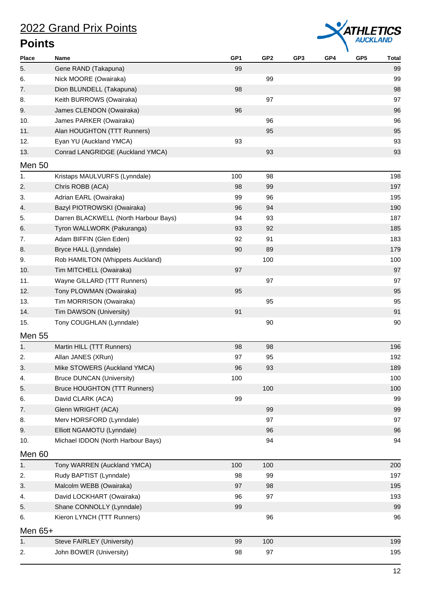

| <b>Place</b>   | Name                                  | GP <sub>1</sub> | GP <sub>2</sub> | GP3 | GP4 | GP <sub>5</sub> | <b>Total</b> |
|----------------|---------------------------------------|-----------------|-----------------|-----|-----|-----------------|--------------|
| 5.             | Gene RAND (Takapuna)                  | 99              |                 |     |     |                 | 99           |
| 6.             | Nick MOORE (Owairaka)                 |                 | 99              |     |     |                 | 99           |
| 7.             | Dion BLUNDELL (Takapuna)              | 98              |                 |     |     |                 | 98           |
| 8.             | Keith BURROWS (Owairaka)              |                 | 97              |     |     |                 | 97           |
| 9.             | James CLENDON (Owairaka)              | 96              |                 |     |     |                 | 96           |
| 10.            | James PARKER (Owairaka)               |                 | 96              |     |     |                 | 96           |
| 11.            | Alan HOUGHTON (TTT Runners)           |                 | 95              |     |     |                 | 95           |
| 12.            | Eyan YU (Auckland YMCA)               | 93              |                 |     |     |                 | 93           |
| 13.            | Conrad LANGRIDGE (Auckland YMCA)      |                 | 93              |     |     |                 | 93           |
| Men 50         |                                       |                 |                 |     |     |                 |              |
| 1 <sub>1</sub> | Kristaps MAULVURFS (Lynndale)         | 100             | 98              |     |     |                 | 198          |
| 2.             | Chris ROBB (ACA)                      | 98              | 99              |     |     |                 | 197          |
| 3.             | Adrian EARL (Owairaka)                | 99              | 96              |     |     |                 | 195          |
| 4.             | Bazyl PIOTROWSKI (Owairaka)           | 96              | 94              |     |     |                 | 190          |
| 5.             | Darren BLACKWELL (North Harbour Bays) | 94              | 93              |     |     |                 | 187          |
| 6.             | Tyron WALLWORK (Pakuranga)            | 93              | 92              |     |     |                 | 185          |
| 7.             | Adam BIFFIN (Glen Eden)               | 92              | 91              |     |     |                 | 183          |
| 8.             | Bryce HALL (Lynndale)                 | 90              | 89              |     |     |                 | 179          |
| 9.             | Rob HAMILTON (Whippets Auckland)      |                 | 100             |     |     |                 | 100          |
| 10.            | Tim MITCHELL (Owairaka)               | 97              |                 |     |     |                 | 97           |
| 11.            | Wayne GILLARD (TTT Runners)           |                 | 97              |     |     |                 | 97           |
| 12.            | Tony PLOWMAN (Owairaka)               | 95              |                 |     |     |                 | 95           |
| 13.            | Tim MORRISON (Owairaka)               |                 | 95              |     |     |                 | 95           |
| 14.            | Tim DAWSON (University)               | 91              |                 |     |     |                 | 91           |
| 15.            | Tony COUGHLAN (Lynndale)              |                 | 90              |     |     |                 | 90           |
| <b>Men 55</b>  |                                       |                 |                 |     |     |                 |              |
| 1 <sub>1</sub> | Martin HILL (TTT Runners)             | 98              | 98              |     |     |                 | 196          |
| 2.             | Allan JANES (XRun)                    | 97              | 95              |     |     |                 | 192          |
| 3.             | Mike STOWERS (Auckland YMCA)          | 96              | 93              |     |     |                 | 189          |
| 4.             | <b>Bruce DUNCAN (University)</b>      | 100             |                 |     |     |                 | 100          |
| 5.             | Bruce HOUGHTON (TTT Runners)          |                 | 100             |     |     |                 | 100          |
| 6.             | David CLARK (ACA)                     | 99              |                 |     |     |                 | 99           |
| 7.             | Glenn WRIGHT (ACA)                    |                 | 99              |     |     |                 | 99           |
| 8.             | Merv HORSFORD (Lynndale)              |                 | 97              |     |     |                 | 97           |
| 9.             | Elliott NGAMOTU (Lynndale)            |                 | 96              |     |     |                 | 96           |
| 10.            | Michael IDDON (North Harbour Bays)    |                 | 94              |     |     |                 | 94           |
|                |                                       |                 |                 |     |     |                 |              |
| Men 60         |                                       |                 |                 |     |     |                 |              |
| 1.             | Tony WARREN (Auckland YMCA)           | 100             | 100             |     |     |                 | 200          |
| 2.             | Rudy BAPTIST (Lynndale)               | 98              | 99              |     |     |                 | 197          |
| 3.             | Malcolm WEBB (Owairaka)               | 97              | 98              |     |     |                 | 195          |
| 4.             | David LOCKHART (Owairaka)             | 96              | 97              |     |     |                 | 193          |
| 5.             | Shane CONNOLLY (Lynndale)             | 99              |                 |     |     |                 | 99           |
| 6.             | Kieron LYNCH (TTT Runners)            |                 | 96              |     |     |                 | 96           |
| Men $65+$      |                                       |                 |                 |     |     |                 |              |
| 1.             | Steve FAIRLEY (University)            | 99              | 100             |     |     |                 | 199          |
| 2.             | John BOWER (University)               | 98              | 97              |     |     |                 | 195          |
|                |                                       |                 |                 |     |     |                 |              |